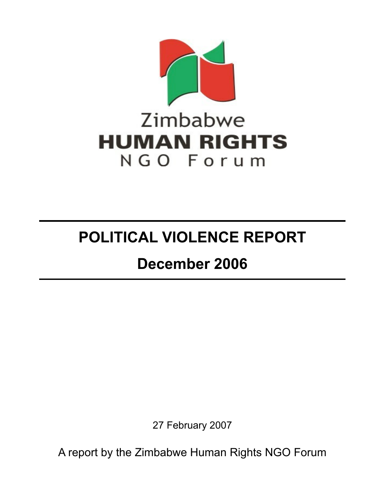

# **POLITICAL VIOLENCE REPORT**

# **December 2006**

27 February 2007

A report by the Zimbabwe Human Rights NGO Forum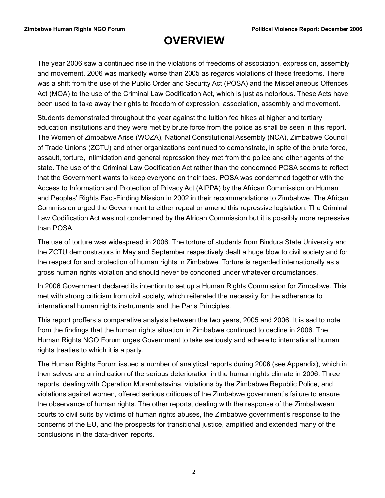# **OVERVIEW**

The year 2006 saw a continued rise in the violations of freedoms of association, expression, assembly and movement. 2006 was markedly worse than 2005 as regards violations of these freedoms. There was a shift from the use of the Public Order and Security Act (POSA) and the Miscellaneous Offences Act (MOA) to the use of the Criminal Law Codification Act, which is just as notorious. These Acts have been used to take away the rights to freedom of expression, association, assembly and movement.

Students demonstrated throughout the year against the tuition fee hikes at higher and tertiary education institutions and they were met by brute force from the police as shall be seen in this report. The Women of Zimbabwe Arise (WOZA), National Constitutional Assembly (NCA), Zimbabwe Council of Trade Unions (ZCTU) and other organizations continued to demonstrate, in spite of the brute force, assault, torture, intimidation and general repression they met from the police and other agents of the state. The use of the Criminal Law Codification Act rather than the condemned POSA seems to reflect that the Government wants to keep everyone on their toes. POSA was condemned together with the Access to Information and Protection of Privacy Act (AIPPA) by the African Commission on Human and Peoples' Rights Fact-Finding Mission in 2002 in their recommendations to Zimbabwe. The African Commission urged the Government to either repeal or amend this repressive legislation. The Criminal Law Codification Act was not condemned by the African Commission but it is possibly more repressive than POSA.

The use of torture was widespread in 2006. The torture of students from Bindura State University and the ZCTU demonstrators in May and September respectively dealt a huge blow to civil society and for the respect for and protection of human rights in Zimbabwe. Torture is regarded internationally as a gross human rights violation and should never be condoned under whatever circumstances.

In 2006 Government declared its intention to set up a Human Rights Commission for Zimbabwe. This met with strong criticism from civil society, which reiterated the necessity for the adherence to international human rights instruments and the Paris Principles.

This report proffers a comparative analysis between the two years, 2005 and 2006. It is sad to note from the findings that the human rights situation in Zimbabwe continued to decline in 2006. The Human Rights NGO Forum urges Government to take seriously and adhere to international human rights treaties to which it is a party.

The Human Rights Forum issued a number of analytical reports during 2006 (see Appendix), which in themselves are an indication of the serious deterioration in the human rights climate in 2006. Three reports, dealing with Operation Murambatsvina, violations by the Zimbabwe Republic Police, and violations against women, offered serious critiques of the Zimbabwe government's failure to ensure the observance of human rights. The other reports, dealing with the response of the Zimbabwean courts to civil suits by victims of human rights abuses, the Zimbabwe government's response to the concerns of the EU, and the prospects for transitional justice, amplified and extended many of the conclusions in the data-driven reports.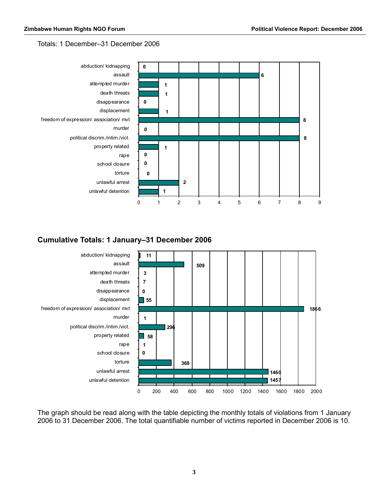#### Totals: 1 December–31 December 2006



#### **Cumulative Totals: 1 January–31 December 2006**



The graph should be read along with the table depicting the monthly totals of violations from 1 January 2006 to 31 December 2006. The total quantifiable number of victims reported in December 2006 is 10.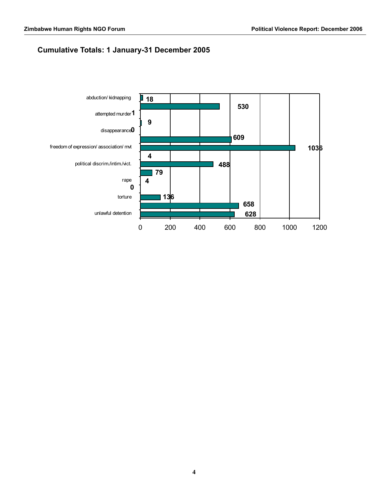### **Cumulative Totals: 1 January-31 December 2005**

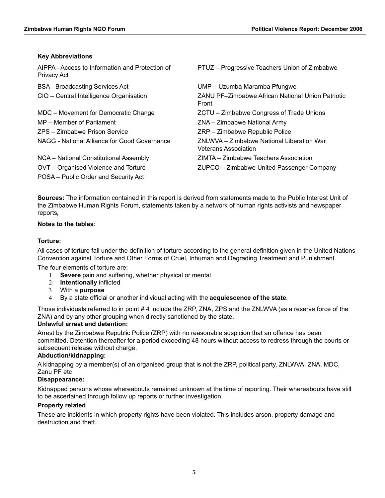#### **Key Abbreviations**

| AIPPA-Access to Information and Protection of<br>Privacy Act | PTUZ - Progressive Teachers Union of Zimbabwe                            |
|--------------------------------------------------------------|--------------------------------------------------------------------------|
| <b>BSA</b> - Broadcasting Services Act                       | UMP - Uzumba Maramba Pfungwe                                             |
| CIO - Central Intelligence Organisation                      | ZANU PF-Zimbabwe African National Union Patriotic<br>Front               |
| MDC - Movement for Democratic Change                         | ZCTU - Zimbabwe Congress of Trade Unions                                 |
| MP – Member of Parliament                                    | ZNA – Zimbabwe National Army                                             |
| ZPS - Zimbabwe Prison Service                                | ZRP - Zimbabwe Republic Police                                           |
| NAGG - National Alliance for Good Governance                 | ZNLWVA - Zimbabwe National Liberation War<br><b>Veterans Association</b> |
| NCA - National Constitutional Assembly                       | ZIMTA – Zimbabwe Teachers Association                                    |
| OVT - Organised Violence and Torture                         | ZUPCO - Zimbabwe United Passenger Company                                |
| POSA – Public Order and Security Act                         |                                                                          |

**Sources:** The information contained in this report is derived from statements made to the Public Interest Unit of the Zimbabwe Human Rights Forum, statements taken by a network of human rights activists and newspaper reports**,** 

#### **Notes to the tables:**

#### **Torture:**

All cases of torture fall under the definition of torture according to the general definition given in the United Nations Convention against Torture and Other Forms of Cruel, Inhuman and Degrading Treatment and Punishment.

The four elements of torture are:

- 1 **Severe** pain and suffering, whether physical or mental
- 2 **Intentionally** inflicted
- 3 With a **purpose**
- 4 By a state official or another individual acting with the **acquiescence of the state**.

Those individuals referred to in point # 4 include the ZRP, ZNA, ZPS and the ZNLWVA (as a reserve force of the ZNA) and by any other grouping when directly sanctioned by the state.

#### **Unlawful arrest and detention:**

Arrest by the Zimbabwe Republic Police (ZRP) with no reasonable suspicion that an offence has been committed. Detention thereafter for a period exceeding 48 hours without access to redress through the courts or subsequent release without charge.

#### **Abduction/kidnapping:**

A kidnapping by a member(s) of an organised group that is not the ZRP, political party, ZNLWVA, ZNA, MDC, Zanu PF etc

#### **Disappearance:**

Kidnapped persons whose whereabouts remained unknown at the time of reporting. Their whereabouts have still to be ascertained through follow up reports or further investigation.

#### **Property related**

These are incidents in which property rights have been violated. This includes arson, property damage and destruction and theft.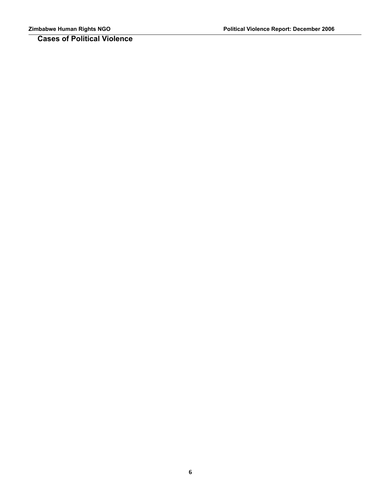**Cases of Political Violence**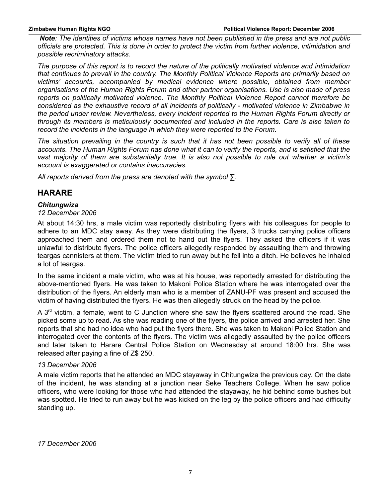*Note: The identities of victims whose names have not been published in the press and are not public officials are protected. This is done in order to protect the victim from further violence, intimidation and possible recriminatory attacks.*

*The purpose of this report is to record the nature of the politically motivated violence and intimidation that continues to prevail in the country. The Monthly Political Violence Reports are primarily based on victims' accounts, accompanied by medical evidence where possible, obtained from member organisations of the Human Rights Forum and other partner organisations. Use is also made of press reports on politically motivated violence. The Monthly Political Violence Report cannot therefore be considered as the exhaustive record of all incidents of politically - motivated violence in Zimbabwe in the period under review. Nevertheless, every incident reported to the Human Rights Forum directly or through its members is meticulously documented and included in the reports. Care is also taken to record the incidents in the language in which they were reported to the Forum.*

*The situation prevailing in the country is such that it has not been possible to verify all of these accounts. The Human Rights Forum has done what it can to verify the reports, and is satisfied that the vast majority of them are substantially true. It is also not possible to rule out whether a victim's account is exaggerated or contains inaccuracies.*

*All reports derived from the press are denoted with the symbol ∑.*

### **HARARE**

#### *Chitungwiza*

#### *12 December 2006*

At about 14:30 hrs, a male victim was reportedly distributing flyers with his colleagues for people to adhere to an MDC stay away. As they were distributing the flyers, 3 trucks carrying police officers approached them and ordered them not to hand out the flyers. They asked the officers if it was unlawful to distribute flyers. The police officers allegedly responded by assaulting them and throwing teargas cannisters at them. The victim tried to run away but he fell into a ditch. He believes he inhaled a lot of teargas.

In the same incident a male victim, who was at his house, was reportedly arrested for distributing the above-mentioned flyers. He was taken to Makoni Police Station where he was interrogated over the distribution of the flyers. An elderly man who is a member of ZANU-PF was present and accused the victim of having distributed the flyers. He was then allegedly struck on the head by the police.

A  $3<sup>rd</sup>$  victim, a female, went to C Junction where she saw the flyers scattered around the road. She picked some up to read. As she was reading one of the flyers, the police arrived and arrested her. She reports that she had no idea who had put the flyers there. She was taken to Makoni Police Station and interrogated over the contents of the flyers. The victim was allegedly assaulted by the police officers and later taken to Harare Central Police Station on Wednesday at around 18:00 hrs. She was released after paying a fine of Z\$ 250.

#### *13 December 2006*

A male victim reports that he attended an MDC stayaway in Chitungwiza the previous day. On the date of the incident, he was standing at a junction near Seke Teachers College. When he saw police officers, who were looking for those who had attended the stayaway, he hid behind some bushes but was spotted. He tried to run away but he was kicked on the leg by the police officers and had difficulty standing up.

*17 December 2006*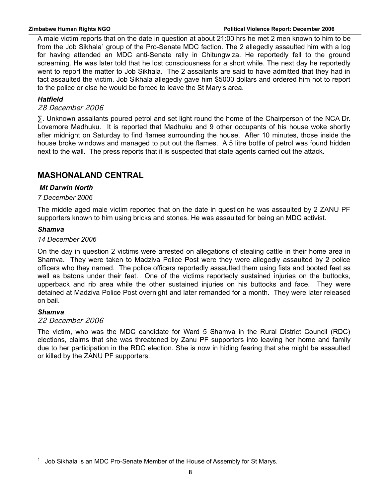A male victim reports that on the date in question at about 21:00 hrs he met 2 men known to him to be from the Job Sikhala<sup>[1](#page-7-0)</sup> group of the Pro-Senate MDC faction. The 2 allegedly assaulted him with a log for having attended an MDC anti-Senate rally in Chitungwiza. He reportedly fell to the ground screaming. He was later told that he lost consciousness for a short while. The next day he reportedly went to report the matter to Job Sikhala. The 2 assailants are said to have admitted that they had in fact assaulted the victim. Job Sikhala allegedly gave him \$5000 dollars and ordered him not to report to the police or else he would be forced to leave the St Mary's area.

#### *Hatfield*

#### 28 December 2006

∑. Unknown assailants poured petrol and set light round the home of the Chairperson of the NCA Dr. Lovemore Madhuku. It is reported that Madhuku and 9 other occupants of his house woke shortly after midnight on Saturday to find flames surrounding the house. After 10 minutes, those inside the house broke windows and managed to put out the flames. A 5 litre bottle of petrol was found hidden next to the wall. The press reports that it is suspected that state agents carried out the attack.

### **MASHONALAND CENTRAL**

#### *Mt Darwin North*

#### *7 December 2006*

The middle aged male victim reported that on the date in question he was assaulted by 2 ZANU PF supporters known to him using bricks and stones. He was assaulted for being an MDC activist.

#### *Shamva*

#### *14 December 2006*

On the day in question 2 victims were arrested on allegations of stealing cattle in their home area in Shamva. They were taken to Madziva Police Post were they were allegedly assaulted by 2 police officers who they named. The police officers reportedly assaulted them using fists and booted feet as well as batons under their feet. One of the victims reportedly sustained injuries on the buttocks, upperback and rib area while the other sustained injuries on his buttocks and face. They were detained at Madziva Police Post overnight and later remanded for a month. They were later released on bail.

#### *Shamva*

#### 22 December 2006

The victim, who was the MDC candidate for Ward 5 Shamva in the Rural District Council (RDC) elections, claims that she was threatened by Zanu PF supporters into leaving her home and family due to her participation in the RDC election. She is now in hiding fearing that she might be assaulted or killed by the ZANU PF supporters.

<span id="page-7-0"></span><sup>1</sup> Job Sikhala is an MDC Pro-Senate Member of the House of Assembly for St Marys.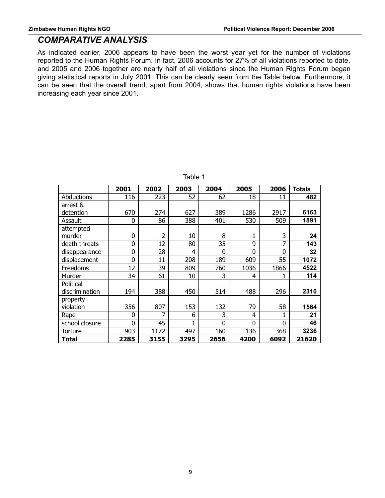### *COMPARATIVE ANALYSIS*

As indicated earlier, 2006 appears to have been the worst year yet for the number of violations reported to the Human Rights Forum. In fact, 2006 accounts for 27% of all violations reported to date, and 2005 and 2006 together are nearly half of all violations since the Human Rights Forum began giving statistical reports in July 2001. This can be clearly seen from the Table below. Furthermore, it can be seen that the overall trend, apart from 2004, shows that human rights violations have been increasing each year since 2001.

|                | 2001     | 2002           | 2003 | 2004     | 2005           | 2006           | <b>Totals</b> |
|----------------|----------|----------------|------|----------|----------------|----------------|---------------|
| Abductions     | 116      | 223            | 52   | 62       | 18             | 11             | 482           |
| arrest &       |          |                |      |          |                |                |               |
| detention      | 670      | 274            | 627  | 389      | 1286           | 2917           | 6163          |
| Assault        | 0        | 86             | 388  | 401      | 530            | 509            | 1891          |
| attempted      |          |                |      |          |                |                |               |
| murder         | $\Omega$ | $\overline{2}$ | 10   | 8        |                | 3              | 24            |
| death threats  | 0        | 12             | 80   | 35       | 9              | 7              | 143           |
| disappearance  | 0        | 28             | 4    | $\Omega$ | $\overline{0}$ | $\overline{0}$ | 32            |
| displacement   | 0        | 11             | 208  | 189      | 609            | 55             | 1072          |
| Freedoms       | 12       | 39             | 809  | 760      | 1036           | 1866           | 4522          |
| Murder         | 34       | 61             | 10   | 3        | 4              |                | 114           |
| Political      |          |                |      |          |                |                |               |
| discrimination | 194      | 388            | 450  | 514      | 488            | 296            | 2310          |
| property       |          |                |      |          |                |                |               |
| violation      | 356      | 807            | 153  | 132      | 79             | 58             | 1564          |
| Rape           | $\Omega$ | 7              | 6    | 3        | 4              | 1              | 21            |
| school closure | $\Omega$ | 45             | 1    | 0        | $\Omega$       | $\overline{0}$ | 46            |
| Torture        | 903      | 1172           | 497  | 160      | 136            | 368            | 3236          |
| Total          | 2285     | 3155           | 3295 | 2656     | 4200           | 6092           | 21620         |

Table 1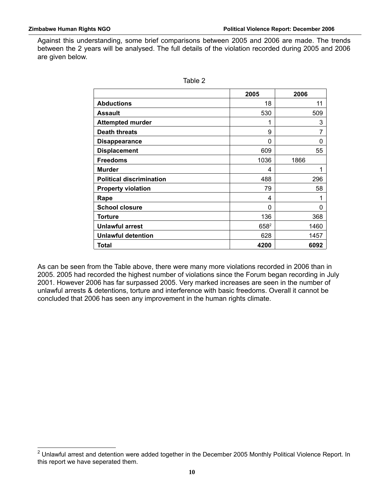Against this understanding, some brief comparisons between 2005 and 2006 are made. The trends between the 2 years will be analysed. The full details of the violation recorded during 2005 and 2006 are given below.

|                                 | 2005    | 2006 |
|---------------------------------|---------|------|
| <b>Abductions</b>               | 18      | 11   |
| <b>Assault</b>                  | 530     | 509  |
| <b>Attempted murder</b>         | 1       | 3    |
| <b>Death threats</b>            | 9       |      |
| <b>Disappearance</b>            | 0       | 0    |
| <b>Displacement</b>             | 609     | 55   |
| <b>Freedoms</b>                 | 1036    | 1866 |
| <b>Murder</b>                   | 4       |      |
| <b>Political discrimination</b> | 488     | 296  |
| <b>Property violation</b>       | 79      | 58   |
| Rape                            | 4       |      |
| <b>School closure</b>           | 0       | 0    |
| <b>Torture</b>                  | 136     | 368  |
| <b>Unlawful arrest</b>          | $658^2$ | 1460 |
| <b>Unlawful detention</b>       | 628     | 1457 |
| <b>Total</b>                    | 4200    | 6092 |

| × |  |  |
|---|--|--|
|---|--|--|

As can be seen from the Table above, there were many more violations recorded in 2006 than in 2005. 2005 had recorded the highest number of violations since the Forum began recording in July 2001. However 2006 has far surpassed 2005. Very marked increases are seen in the number of unlawful arrests & detentions, torture and interference with basic freedoms. Overall it cannot be concluded that 2006 has seen any improvement in the human rights climate.

<span id="page-9-0"></span><sup>&</sup>lt;sup>2</sup> Unlawful arrest and detention were added together in the December 2005 Monthly Political Violence Report. In this report we have seperated them.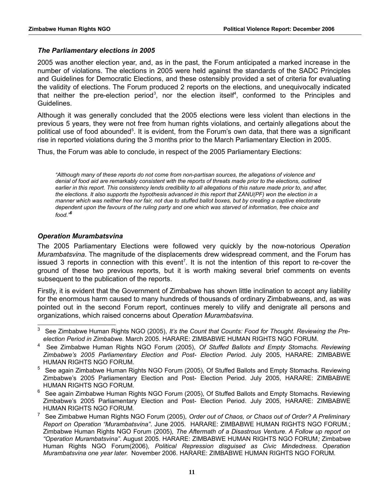#### *The Parliamentary elections in 2005*

2005 was another election year, and, as in the past, the Forum anticipated a marked increase in the number of violations. The elections in 2005 were held against the standards of the SADC Principles and Guidelines for Democratic Elections, and these ostensibly provided a set of criteria for evaluating the validity of elections. The Forum produced 2 reports on the elections, and unequivocally indicated that neither the pre-election period<sup>[3](#page-10-0)</sup>, nor the election itself<sup>[4](#page-10-1)</sup>, conformed to the Principles and Guidelines.

Although it was generally concluded that the 2005 elections were less violent than elections in the previous 5 years, they were not free from human rights violations, and certainly allegations about the political use of food abounded<sup>[5](#page-10-2)</sup>. It is evident, from the Forum's own data, that there was a significant rise in reported violations during the 3 months prior to the March Parliamentary Election in 2005.

Thus, the Forum was able to conclude, in respect of the 2005 Parliamentary Elections:

*"Although many of these reports do not come from non-partisan sources, the allegations of violence and denial of food aid are remarkably consistent with the reports of threats made prior to the elections, outlined earlier in this report. This consistency lends credibility to all allegations of this nature made prior to, and after, the elections. It also supports the hypothesis advanced in this report that ZANU(PF) won the election in a manner which was neither free nor fair, not due to stuffed ballot boxes, but by creating a captive electorate dependent upon the favours of the ruling party and one which was starved of information, free choice and food."[6](#page-10-3)*

#### *Operation Murambatsvina*

The 2005 Parliamentary Elections were followed very quickly by the now-notorious *Operation Murambatsvina*. The magnitude of the displacements drew widespread comment, and the Forum has issued 3 reports in connection with this event<sup>[7](#page-10-4)</sup>. It is not the intention of this report to re-cover the ground of these two previous reports, but it is worth making several brief comments on events subsequent to the publication of the reports.

Firstly, it is evident that the Government of Zimbabwe has shown little inclination to accept any liability for the enormous harm caused to many hundreds of thousands of ordinary Zimbabweans, and, as was pointed out in the second Forum report, continues merely to vilify and denigrate all persons and organizations, which raised concerns about *Operation Murambatsvina.*

<span id="page-10-0"></span><sup>3</sup> See Zimbabwe Human Rights NGO (2005), *It's the Count that Counts: Food for Thought. Reviewing the Preelection Period in Zimbabwe*. March 2005. HARARE: ZIMBABWE HUMAN RIGHTS NGO FORUM.

<span id="page-10-1"></span><sup>4</sup> See Zimbabwe Human Rights NGO Forum (2005), *Of Stuffed Ballots and Empty Stomachs. Reviewing Zimbabwe's 2005 Parliamentary Election and Post- Election Perio*d. July 2005, HARARE: ZIMBABWE HUMAN RIGHTS NGO FORUM.

<span id="page-10-2"></span><sup>&</sup>lt;sup>5</sup> See again Zimbabwe Human Rights NGO Forum (2005), Of Stuffed Ballots and Empty Stomachs. Reviewing Zimbabwe's 2005 Parliamentary Election and Post- Election Period. July 2005, HARARE: ZIMBABWE HUMAN RIGHTS NGO FORUM.

<span id="page-10-3"></span> $^6$  See again Zimbabwe Human Rights NGO Forum (2005), Of Stuffed Ballots and Empty Stomachs. Reviewing Zimbabwe's 2005 Parliamentary Election and Post- Election Period. July 2005, HARARE: ZIMBABWE HUMAN RIGHTS NGO FORUM.

<span id="page-10-4"></span><sup>7</sup> See Zimbabwe Human Rights NGO Forum (2005), *Order out of Chaos, or Chaos out of Order? A Preliminary Report on Operation "Murambatsvina"*. June 2005. HARARE: ZIMBABWE HUMAN RIGHTS NGO FORUM.; Zimbabwe Human Rights NGO Forum (2005), *The Aftermath of a Disastrous Venture. A Follow up report on "Operation Murambatsvina"*. August 2005. HARARE: ZIMBABWE HUMAN RIGHTS NGO FORUM*;* Zimbabwe Human Rights NGO Forum(2006)*, Political Repression disguised as Civic Mindedness. Operation Murambatsvina one year later.* November 2006. HARARE: ZIMBABWE HUMAN RIGHTS NGO FORUM*.*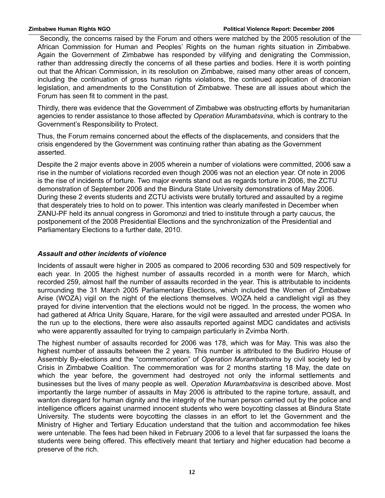Secondly, the concerns raised by the Forum and others were matched by the 2005 resolution of the African Commission for Human and Peoples' Rights on the human rights situation in Zimbabwe. Again the Government of Zimbabwe has responded by vilifying and denigrating the Commission, rather than addressing directly the concerns of all these parties and bodies. Here it is worth pointing out that the African Commission, in its resolution on Zimbabwe, raised many other areas of concern, including the continuation of gross human rights violations, the continued application of draconian legislation, and amendments to the Constitution of Zimbabwe. These are all issues about which the Forum has seen fit to comment in the past.

Thirdly, there was evidence that the Government of Zimbabwe was obstructing efforts by humanitarian agencies to render assistance to those affected by *Operation Murambatsvina*, which is contrary to the Government's Responsibility to Protect.

Thus, the Forum remains concerned about the effects of the displacements, and considers that the crisis engendered by the Government was continuing rather than abating as the Government asserted.

Despite the 2 major events above in 2005 wherein a number of violations were committed, 2006 saw a rise in the number of violations recorded even though 2006 was not an election year. Of note in 2006 is the rise of incidents of torture. Two major events stand out as regards torture in 2006, the ZCTU demonstration of September 2006 and the Bindura State University demonstrations of May 2006. During these 2 events students and ZCTU activists were brutally tortured and assaulted by a regime that desperately tries to hold on to power. This intention was clearly manifested in December when ZANU-PF held its annual congress in Goromonzi and tried to institute through a party caucus, the postponement of the 2008 Presidential Elections and the synchronization of the Presidential and Parliamentary Elections to a further date, 2010.

#### *Assault and other incidents of violence*

Incidents of assault were higher in 2005 as compared to 2006 recording 530 and 509 respectively for each year. In 2005 the highest number of assaults recorded in a month were for March, which recorded 259, almost half the number of assaults recorded in the year. This is attributable to incidents surrounding the 31 March 2005 Parliamentary Elections, which included the Women of Zimbabwe Arise (WOZA) vigil on the night of the elections themselves. WOZA held a candlelight vigil as they prayed for divine intervention that the elections would not be rigged. In the process, the women who had gathered at Africa Unity Square, Harare, for the vigil were assaulted and arrested under POSA. In the run up to the elections, there were also assaults reported against MDC candidates and activists who were apparently assaulted for trying to campaign particularly in Zvimba North.

The highest number of assaults recorded for 2006 was 178, which was for May. This was also the highest number of assaults between the 2 years. This number is attributed to the Budiriro House of Assembly By-elections and the "commemoration" of *Operation Murambatsvina* by civil society led by Crisis in Zimbabwe Coalition. The commemoration was for 2 months starting 18 May, the date on which the year before, the government had destroyed not only the informal settlements and businesses but the lives of many people as well. *Operation Murambatsvina* is described above. Most importantly the large number of assaults in May 2006 is attributed to the rapine torture, assault, and wanton disregard for human dignity and the integrity of the human person carried out by the police and intelligence officers against unarmed innocent students who were boycotting classes at Bindura State University. The students were boycotting the classes in an effort to let the Government and the Ministry of Higher and Tertiary Education understand that the tuition and accommodation fee hikes were untenable. The fees had been hiked in February 2006 to a level that far surpassed the loans the students were being offered. This effectively meant that tertiary and higher education had become a preserve of the rich.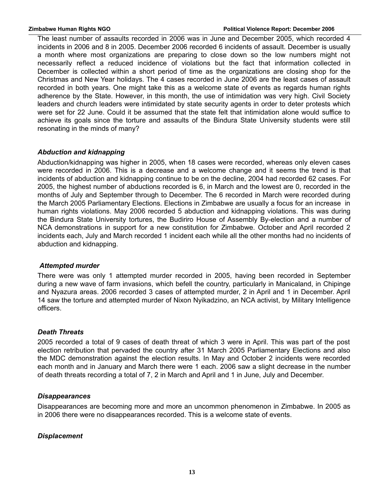The least number of assaults recorded in 2006 was in June and December 2005, which recorded 4 incidents in 2006 and 8 in 2005. December 2006 recorded 6 incidents of assault. December is usually a month where most organizations are preparing to close down so the low numbers might not necessarily reflect a reduced incidence of violations but the fact that information collected in December is collected within a short period of time as the organizations are closing shop for the Christmas and New Year holidays. The 4 cases recorded in June 2006 are the least cases of assault recorded in both years. One might take this as a welcome state of events as regards human rights adherence by the State. However, in this month, the use of intimidation was very high. Civil Society leaders and church leaders were intimidated by state security agents in order to deter protests which were set for 22 June. Could it be assumed that the state felt that intimidation alone would suffice to achieve its goals since the torture and assaults of the Bindura State University students were still resonating in the minds of many?

#### *Abduction and kidnapping*

Abduction/kidnapping was higher in 2005, when 18 cases were recorded, whereas only eleven cases were recorded in 2006. This is a decrease and a welcome change and it seems the trend is that incidents of abduction and kidnapping continue to be on the decline, 2004 had recorded 62 cases. For 2005, the highest number of abductions recorded is 6, in March and the lowest are 0, recorded in the months of July and September through to December. The 6 recorded in March were recorded during the March 2005 Parliamentary Elections. Elections in Zimbabwe are usually a focus for an increase in human rights violations. May 2006 recorded 5 abduction and kidnapping violations. This was during the Bindura State University tortures, the Budiriro House of Assembly By-election and a number of NCA demonstrations in support for a new constitution for Zimbabwe. October and April recorded 2 incidents each, July and March recorded 1 incident each while all the other months had no incidents of abduction and kidnapping.

#### *Attempted murder*

There were was only 1 attempted murder recorded in 2005, having been recorded in September during a new wave of farm invasions, which befell the country, particularly in Manicaland, in Chipinge and Nyazura areas. 2006 recorded 3 cases of attempted murder, 2 in April and 1 in December. April 14 saw the torture and attempted murder of Nixon Nyikadzino, an NCA activist, by Military Intelligence officers.

#### *Death Threats*

2005 recorded a total of 9 cases of death threat of which 3 were in April. This was part of the post election retribution that pervaded the country after 31 March 2005 Parliamentary Elections and also the MDC demonstration against the election results. In May and October 2 incidents were recorded each month and in January and March there were 1 each. 2006 saw a slight decrease in the number of death threats recording a total of 7, 2 in March and April and 1 in June, July and December.

#### *Disappearances*

Disappearances are becoming more and more an uncommon phenomenon in Zimbabwe. In 2005 as in 2006 there were no disappearances recorded. This is a welcome state of events.

#### *Displacement*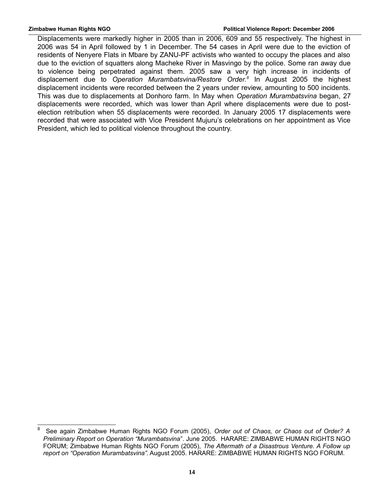Displacements were markedly higher in 2005 than in 2006, 609 and 55 respectively. The highest in 2006 was 54 in April followed by 1 in December. The 54 cases in April were due to the eviction of residents of Nenyere Flats in Mbare by ZANU-PF activists who wanted to occupy the places and also due to the eviction of squatters along Macheke River in Masvingo by the police. Some ran away due to violence being perpetrated against them. 2005 saw a very high increase in incidents of displacement due to *Operation Murambatsvina/Restore Order.[8](#page-13-0)* In August 2005 the highest displacement incidents were recorded between the 2 years under review, amounting to 500 incidents. This was due to displacements at Donhoro farm. In May when *Operation Murambatsvina* began, 27 displacements were recorded, which was lower than April where displacements were due to postelection retribution when 55 displacements were recorded. In January 2005 17 displacements were recorded that were associated with Vice President Mujuru's celebrations on her appointment as Vice President, which led to political violence throughout the country.

<span id="page-13-0"></span><sup>8</sup> See again Zimbabwe Human Rights NGO Forum (2005), *Order out of Chaos, or Chaos out of Order? A Preliminary Report on Operation "Murambatsvina*". June 2005. HARARE: ZIMBABWE HUMAN RIGHTS NGO FORUM; Zimbabwe Human Rights NGO Forum (2005), *The Aftermath of a Disastrous Venture. A Follow up report on "Operation Murambatsvina"*. August 2005. HARARE: ZIMBABWE HUMAN RIGHTS NGO FORUM.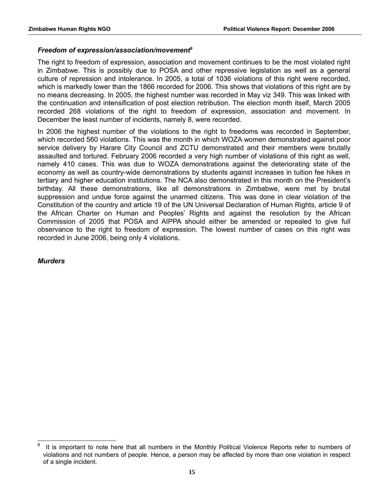#### *Freedom of expression/association/movement[9](#page-14-0)*

The right to freedom of expression, association and movement continues to be the most violated right in Zimbabwe. This is possibly due to POSA and other repressive legislation as well as a general culture of repression and intolerance. In 2005, a total of 1036 violations of this right were recorded, which is markedly lower than the 1866 recorded for 2006. This shows that violations of this right are by no means decreasing. In 2005, the highest number was recorded in May viz 349. This was linked with the continuation and intensification of post election retribution. The election month itself, March 2005 recorded 268 violations of the right to freedom of expression, association and movement. In December the least number of incidents, namely 8, were recorded.

In 2006 the highest number of the violations to the right to freedoms was recorded in September, which recorded 560 violations. This was the month in which WOZA women demonstrated against poor service delivery by Harare City Council and ZCTU demonstrated and their members were brutally assaulted and tortured. February 2006 recorded a very high number of violations of this right as well, namely 410 cases. This was due to WOZA demonstrations against the deteriorating state of the economy as well as country-wide demonstrations by students against increases in tuition fee hikes in tertiary and higher education institutions. The NCA also demonstrated in this month on the President's birthday. All these demonstrations, like all demonstrations in Zimbabwe, were met by brutal suppression and undue force against the unarmed citizens. This was done in clear violation of the Constitution of the country and article 19 of the UN Universal Declaration of Human Rights, article 9 of the African Charter on Human and Peoples' Rights and against the resolution by the African Commission of 2005 that POSA and AIPPA should either be amended or repealed to give full observance to the right to freedom of expression. The lowest number of cases on this right was recorded in June 2006, being only 4 violations.

#### *Murders*

<span id="page-14-0"></span><sup>9</sup> It is important to note here that all numbers in the Monthly Political Violence Reports refer to numbers of violations and not numbers of people. Hence, a person may be affected by more than one violation in respect of a single incident.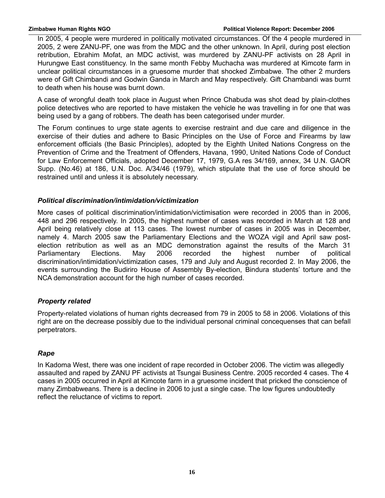In 2005, 4 people were murdered in politically motivated circumstances. Of the 4 people murdered in 2005, 2 were ZANU-PF, one was from the MDC and the other unknown. In April, during post election retribution, Ebrahim Mofat, an MDC activist, was murdered by ZANU-PF activists on 28 April in Hurungwe East constituency. In the same month Febby Muchacha was murdered at Kimcote farm in unclear political circumstances in a gruesome murder that shocked Zimbabwe. The other 2 murders were of Gift Chimbandi and Godwin Ganda in March and May respectively. Gift Chambandi was burnt to death when his house was burnt down.

A case of wrongful death took place in August when Prince Chabuda was shot dead by plain-clothes police detectives who are reported to have mistaken the vehicle he was travelling in for one that was being used by a gang of robbers. The death has been categorised under murder.

The Forum continues to urge state agents to exercise restraint and due care and diligence in the exercise of their duties and adhere to Basic Principles on the Use of Force and Firearms by law enforcement officials (the Basic Principles), adopted by the Eighth United Nations Congress on the Prevention of Crime and the Treatment of Offenders, Havana, 1990, United Nations Code of Conduct for Law Enforcement Officials, adopted December 17, 1979, G.A res 34/169, annex, 34 U.N. GAOR Supp. (No.46) at 186, U.N. Doc. A/34/46 (1979), which stipulate that the use of force should be restrained until and unless it is absolutely necessary.

#### *Political discrimination/intimidation/victimization*

More cases of political discrimination/intimidation/victimisation were recorded in 2005 than in 2006, 448 and 296 respectively. In 2005, the highest number of cases was recorded in March at 128 and April being relatively close at 113 cases. The lowest number of cases in 2005 was in December, namely 4. March 2005 saw the Parliamentary Elections and the WOZA vigil and April saw postelection retribution as well as an MDC demonstration against the results of the March 31 Parliamentary Elections. May 2006 recorded the highest number of political discrimination/intimidation/victimization cases, 179 and July and August recorded 2. In May 2006, the events surrounding the Budiriro House of Assembly By-election, Bindura students' torture and the NCA demonstration account for the high number of cases recorded.

#### *Property related*

Property-related violations of human rights decreased from 79 in 2005 to 58 in 2006. Violations of this right are on the decrease possibly due to the individual personal criminal concequenses that can befall perpetrators.

#### *Rape*

In Kadoma West, there was one incident of rape recorded in October 2006. The victim was allegedly assaulted and raped by ZANU PF activists at Tsungai Business Centre. 2005 recorded 4 cases. The 4 cases in 2005 occurred in April at Kimcote farm in a gruesome incident that pricked the conscience of many Zimbabweans. There is a decline in 2006 to just a single case. The low figures undoubtedly reflect the reluctance of victims to report.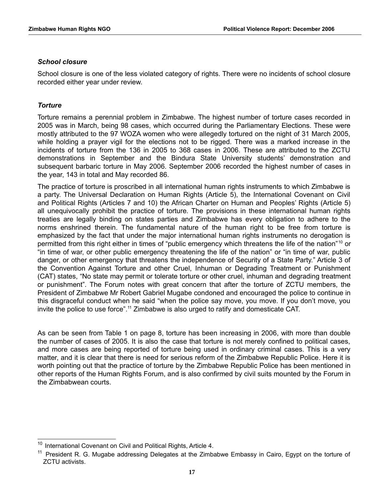#### *School closure*

School closure is one of the less violated category of rights. There were no incidents of school closure recorded either year under review.

#### *Torture*

Torture remains a perennial problem in Zimbabwe. The highest number of torture cases recorded in 2005 was in March, being 98 cases, which occurred during the Parliamentary Elections. These were mostly attributed to the 97 WOZA women who were allegedly tortured on the night of 31 March 2005, while holding a prayer vigil for the elections not to be rigged. There was a marked increase in the incidents of torture from the 136 in 2005 to 368 cases in 2006. These are attributed to the ZCTU demonstrations in September and the Bindura State University students' demonstration and subsequent barbaric torture in May 2006. September 2006 recorded the highest number of cases in the year, 143 in total and May recorded 86.

The practice of torture is proscribed in all international human rights instruments to which Zimbabwe is a party. The Universal Declaration on Human Rights (Article 5), the International Covenant on Civil and Political Rights (Articles 7 and 10) the African Charter on Human and Peoples' Rights (Article 5) all unequivocally prohibit the practice of torture. The provisions in these international human rights treaties are legally binding on states parties and Zimbabwe has every obligation to adhere to the norms enshrined therein. The fundamental nature of the human right to be free from torture is emphasized by the fact that under the major international human rights instruments no derogation is permitted from this right either in times of "public emergency which threatens the life of the nation"[10](#page-16-0) or "in time of war, or other public emergency threatening the life of the nation" or "in time of war, public danger, or other emergency that threatens the independence of Security of a State Party." Article 3 of the Convention Against Torture and other Cruel, Inhuman or Degrading Treatment or Punishment (CAT) states, "No state may permit or tolerate torture or other cruel, inhuman and degrading treatment or punishment". The Forum notes with great concern that after the torture of ZCTU members, the President of Zimbabwe Mr Robert Gabriel Mugabe condoned and encouraged the police to continue in this disgraceful conduct when he said "when the police say move, you move. If you don't move, you invite the police to use force".<sup>[11](#page-16-1)</sup> Zimbabwe is also urged to ratify and domesticate CAT.

As can be seen from Table 1 on page 8, torture has been increasing in 2006, with more than double the number of cases of 2005. It is also the case that torture is not merely confined to political cases, and more cases are being reported of torture being used in ordinary criminal cases. This is a very matter, and it is clear that there is need for serious reform of the Zimbabwe Republic Police. Here it is worth pointing out that the practice of torture by the Zimbabwe Republic Police has been mentioned in other reports of the Human Rights Forum, and is also confirmed by civil suits mounted by the Forum in the Zimbabwean courts.

<span id="page-16-0"></span><sup>&</sup>lt;sup>10</sup> International Covenant on Civil and Political Rights, Article 4.

<span id="page-16-1"></span><sup>&</sup>lt;sup>11</sup> President R. G. Mugabe addressing Delegates at the Zimbabwe Embassy in Cairo, Egypt on the torture of ZCTU activists.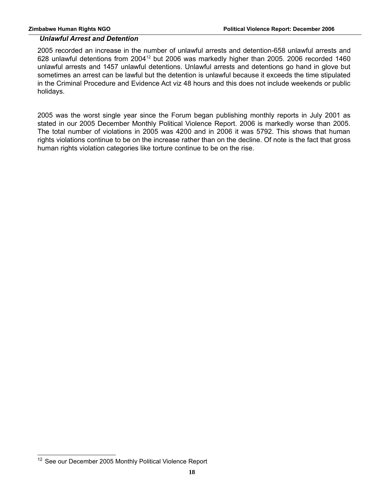#### *Unlawful Arrest and Detention*

2005 recorded an increase in the number of unlawful arrests and detention-658 unlawful arrests and 628 unlawful detentions from 2004<sup>[12](#page-17-0)</sup> but 2006 was markedly higher than 2005. 2006 recorded 1460 unlawful arrests and 1457 unlawful detentions. Unlawful arrests and detentions go hand in glove but sometimes an arrest can be lawful but the detention is unlawful because it exceeds the time stipulated in the Criminal Procedure and Evidence Act viz 48 hours and this does not include weekends or public holidays.

2005 was the worst single year since the Forum began publishing monthly reports in July 2001 as stated in our 2005 December Monthly Political Violence Report. 2006 is markedly worse than 2005. The total number of violations in 2005 was 4200 and in 2006 it was 5792. This shows that human rights violations continue to be on the increase rather than on the decline. Of note is the fact that gross human rights violation categories like torture continue to be on the rise.

<span id="page-17-0"></span><sup>&</sup>lt;sup>12</sup> See our December 2005 Monthly Political Violence Report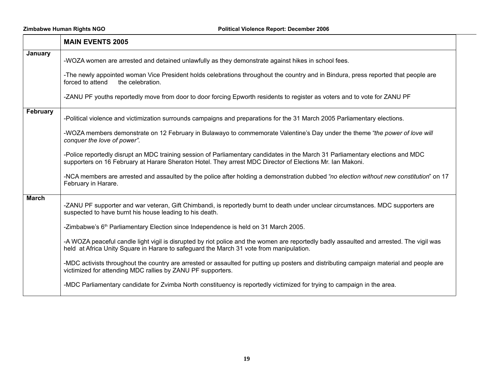$\top$ 

 $\Box$ 

Zimbabwe Human Rights NGO **Political Violence Report: December 2006** 

٦

|              | <b>MAIN EVENTS 2005</b>                                                                                                                                                                                                                     |
|--------------|---------------------------------------------------------------------------------------------------------------------------------------------------------------------------------------------------------------------------------------------|
| January      | -WOZA women are arrested and detained unlawfully as they demonstrate against hikes in school fees.                                                                                                                                          |
|              | -The newly appointed woman Vice President holds celebrations throughout the country and in Bindura, press reported that people are<br>forced to attend<br>the celebration.                                                                  |
|              | -ZANU PF youths reportedly move from door to door forcing Epworth residents to register as voters and to vote for ZANU PF                                                                                                                   |
| February     | -Political violence and victimization surrounds campaigns and preparations for the 31 March 2005 Parliamentary elections.                                                                                                                   |
|              | -WOZA members demonstrate on 12 February in Bulawayo to commemorate Valentine's Day under the theme "the power of love will<br>conquer the love of power".                                                                                  |
|              | -Police reportedly disrupt an MDC training session of Parliamentary candidates in the March 31 Parliamentary elections and MDC<br>supporters on 16 February at Harare Sheraton Hotel. They arrest MDC Director of Elections Mr. Ian Makoni. |
|              | -NCA members are arrested and assaulted by the police after holding a demonstration dubbed "no election without new constitution" on 17<br>February in Harare.                                                                              |
| <b>March</b> | -ZANU PF supporter and war veteran, Gift Chimbandi, is reportedly burnt to death under unclear circumstances. MDC supporters are<br>suspected to have burnt his house leading to his death.                                                 |
|              | -Zimbabwe's $6th$ Parliamentary Election since Independence is held on 31 March 2005.                                                                                                                                                       |
|              | -A WOZA peaceful candle light vigil is disrupted by riot police and the women are reportedly badly assaulted and arrested. The vigil was<br>held at Africa Unity Square in Harare to safeguard the March 31 vote from manipulation.         |
|              | -MDC activists throughout the country are arrested or assaulted for putting up posters and distributing campaign material and people are<br>victimized for attending MDC rallies by ZANU PF supporters.                                     |
|              | -MDC Parliamentary candidate for Zvimba North constituency is reportedly victimized for trying to campaign in the area.                                                                                                                     |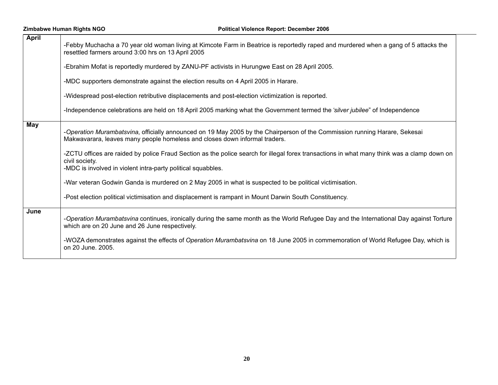| <b>April</b> | -Febby Muchacha a 70 year old woman living at Kimcote Farm in Beatrice is reportedly raped and murdered when a gang of 5 attacks the<br>resettled farmers around 3:00 hrs on 13 April 2005                                    |
|--------------|-------------------------------------------------------------------------------------------------------------------------------------------------------------------------------------------------------------------------------|
|              | -Ebrahim Mofat is reportedly murdered by ZANU-PF activists in Hurungwe East on 28 April 2005.                                                                                                                                 |
|              | -MDC supporters demonstrate against the election results on 4 April 2005 in Harare.                                                                                                                                           |
|              | -Widespread post-election retributive displacements and post-election victimization is reported.                                                                                                                              |
|              | -Independence celebrations are held on 18 April 2005 marking what the Government termed the 'silver jubilee" of Independence                                                                                                  |
| May          | -Operation Murambatsvina, officially announced on 19 May 2005 by the Chairperson of the Commission running Harare, Sekesai<br>Makwavarara, leaves many people homeless and closes down informal traders.                      |
|              | -ZCTU offices are raided by police Fraud Section as the police search for illegal forex transactions in what many think was a clamp down on<br>civil society.<br>-MDC is involved in violent intra-party political squabbles. |
|              | -War veteran Godwin Ganda is murdered on 2 May 2005 in what is suspected to be political victimisation.                                                                                                                       |
|              | -Post election political victimisation and displacement is rampant in Mount Darwin South Constituency.                                                                                                                        |
| June         | -Operation Murambatsvina continues, ironically during the same month as the World Refugee Day and the International Day against Torture<br>which are on 20 June and 26 June respectively.                                     |
|              | -WOZA demonstrates against the effects of Operation Murambatsvina on 18 June 2005 in commemoration of World Refugee Day, which is<br>on 20 June, 2005.                                                                        |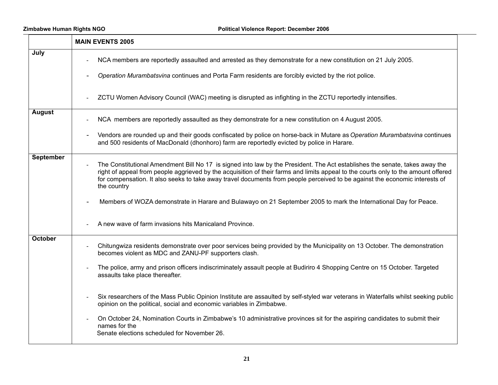|                  | <b>MAIN EVENTS 2005</b>                                                                                                                                                                                                                                                                                                                                                                                         |
|------------------|-----------------------------------------------------------------------------------------------------------------------------------------------------------------------------------------------------------------------------------------------------------------------------------------------------------------------------------------------------------------------------------------------------------------|
| July             | NCA members are reportedly assaulted and arrested as they demonstrate for a new constitution on 21 July 2005.<br>Operation Murambatsvina continues and Porta Farm residents are forcibly evicted by the riot police.                                                                                                                                                                                            |
|                  | ZCTU Women Advisory Council (WAC) meeting is disrupted as infighting in the ZCTU reportedly intensifies.                                                                                                                                                                                                                                                                                                        |
| <b>August</b>    | NCA members are reportedly assaulted as they demonstrate for a new constitution on 4 August 2005.                                                                                                                                                                                                                                                                                                               |
|                  | Vendors are rounded up and their goods confiscated by police on horse-back in Mutare as Operation Murambatsvina continues<br>and 500 residents of MacDonald (dhonhoro) farm are reportedly evicted by police in Harare.                                                                                                                                                                                         |
| <b>September</b> | The Constitutional Amendment Bill No 17 is signed into law by the President. The Act establishes the senate, takes away the<br>right of appeal from people aggrieved by the acquisition of their farms and limits appeal to the courts only to the amount offered<br>for compensation. It also seeks to take away travel documents from people perceived to be against the economic interests of<br>the country |
|                  | Members of WOZA demonstrate in Harare and Bulawayo on 21 September 2005 to mark the International Day for Peace.                                                                                                                                                                                                                                                                                                |
|                  | A new wave of farm invasions hits Manicaland Province.                                                                                                                                                                                                                                                                                                                                                          |
| October          | Chitungwiza residents demonstrate over poor services being provided by the Municipality on 13 October. The demonstration<br>becomes violent as MDC and ZANU-PF supporters clash.                                                                                                                                                                                                                                |
|                  | The police, army and prison officers indiscriminately assault people at Budiriro 4 Shopping Centre on 15 October. Targeted<br>assaults take place thereafter.                                                                                                                                                                                                                                                   |
|                  | Six researchers of the Mass Public Opinion Institute are assaulted by self-styled war veterans in Waterfalls whilst seeking public<br>opinion on the political, social and economic variables in Zimbabwe.                                                                                                                                                                                                      |
|                  | On October 24, Nomination Courts in Zimbabwe's 10 administrative provinces sit for the aspiring candidates to submit their<br>names for the<br>Senate elections scheduled for November 26.                                                                                                                                                                                                                      |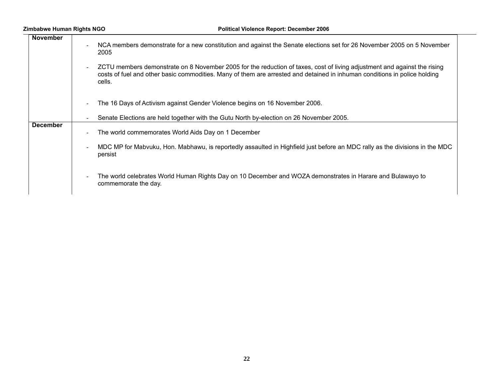| <b>November</b> | NCA members demonstrate for a new constitution and against the Senate elections set for 26 November 2005 on 5 November<br>$\sim$<br>2005                                                                                                                                  |
|-----------------|---------------------------------------------------------------------------------------------------------------------------------------------------------------------------------------------------------------------------------------------------------------------------|
|                 | ZCTU members demonstrate on 8 November 2005 for the reduction of taxes, cost of living adjustment and against the rising<br>$\sim$<br>costs of fuel and other basic commodities. Many of them are arrested and detained in inhuman conditions in police holding<br>cells. |
|                 | The 16 Days of Activism against Gender Violence begins on 16 November 2006.<br>$\blacksquare$                                                                                                                                                                             |
|                 | Senate Elections are held together with the Gutu North by-election on 26 November 2005.                                                                                                                                                                                   |
| <b>December</b> | The world commemorates World Aids Day on 1 December<br>$\blacksquare$                                                                                                                                                                                                     |
|                 | MDC MP for Mabvuku, Hon. Mabhawu, is reportedly assaulted in Highfield just before an MDC rally as the divisions in the MDC<br>persist                                                                                                                                    |
|                 | The world celebrates World Human Rights Day on 10 December and WOZA demonstrates in Harare and Bulawayo to<br>$\overline{\phantom{0}}$<br>commemorate the day.                                                                                                            |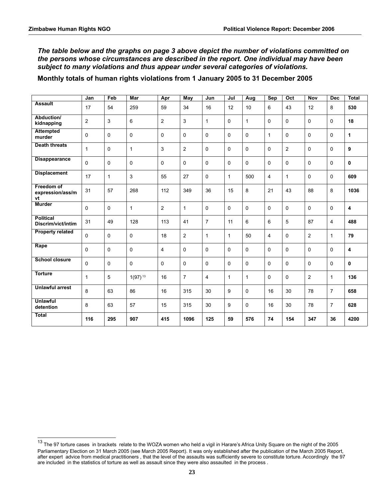*The table below and the graphs on page 3 above depict the number of violations committed on the persons whose circumstances are described in the report. One individual may have been subject to many violations and thus appear under several categories of violations.*

**Monthly totals of human rights violations from 1 January 2005 to 31 December 2005**

|                                        | Jan            | Feb          | <b>Mar</b>   | Apr            | <b>May</b>     | Jun            | Jul          | Aug             | <b>Sep</b>     | Oct            | <b>Nov</b> | <b>Dec</b>     | <b>Total</b> |
|----------------------------------------|----------------|--------------|--------------|----------------|----------------|----------------|--------------|-----------------|----------------|----------------|------------|----------------|--------------|
| <b>Assault</b>                         | 17             | 54           | 259          | 59             | 34             | 16             | 12           | 10 <sup>1</sup> | 6              | 43             | 12         | 8              | 530          |
| Abduction/<br>kidnapping               | $\overline{2}$ | 3            | 6            | $\overline{2}$ | 3              | $\mathbf{1}$   | $\Omega$     | $\mathbf{1}$    | $\Omega$       | $\mathbf{0}$   | $\Omega$   | $\Omega$       | 18           |
| <b>Attempted</b><br>murder             | $\Omega$       | $\mathbf{0}$ | 0            | $\Omega$       | $\mathbf 0$    | $\Omega$       | $\Omega$     | $\Omega$        | $\mathbf{1}$   | $\mathbf{0}$   | $\Omega$   | $\Omega$       | 1            |
| <b>Death threats</b>                   | $\mathbf{1}$   | $\mathbf 0$  | $\mathbf{1}$ | 3              | $\overline{2}$ | $\Omega$       | $\Omega$     | 0               | $\Omega$       | $\overline{2}$ | $\Omega$   | $\mathbf 0$    | 9            |
| <b>Disappearance</b>                   | $\mathbf 0$    | $\mathbf{0}$ | $\mathbf 0$  | $\Omega$       | 0              | $\Omega$       | $\Omega$     | $\Omega$        | $\Omega$       | $\mathbf{0}$   | $\Omega$   | $\Omega$       | 0            |
| <b>Displacement</b>                    | 17             | $\mathbf{1}$ | 3            | 55             | 27             | $\mathbf 0$    | $\mathbf{1}$ | 500             | 4              | $\mathbf{1}$   | $\Omega$   | $\mathbf 0$    | 609          |
| Freedom of<br>expression/ass/m<br>vt   | 31             | 57           | 268          | 112            | 349            | 36             | 15           | 8               | 21             | 43             | 88         | 8              | 1036         |
| <b>Murder</b>                          | $\Omega$       | $\mathbf{0}$ | $\mathbf{1}$ | $\overline{2}$ | $\mathbf{1}$   | $\Omega$       | $\Omega$     | $\Omega$        | $\Omega$       | $\mathbf{0}$   | $\Omega$   | $\Omega$       | 4            |
| <b>Political</b><br>Discrim/vict/intim | 31             | 49           | 128          | 113            | 41             | $\overline{7}$ | 11           | 6               | 6              | 5              | 87         | 4              | 488          |
| <b>Property related</b>                | $\mathbf 0$    | $\mathbf 0$  | $\mathbf 0$  | 18             | $\overline{2}$ | $\mathbf{1}$   | $\mathbf{1}$ | 50              | $\overline{4}$ | $\mathbf 0$    | 2          | $\mathbf{1}$   | 79           |
| Rape                                   | $\Omega$       | $\mathbf{0}$ | $\mathbf 0$  | 4              | 0              | $\Omega$       | $\Omega$     | $\Omega$        | $\Omega$       | $\mathbf{0}$   | $\Omega$   | $\Omega$       | 4            |
| <b>School closure</b>                  | $\Omega$       | $\mathbf{0}$ | 0            | $\Omega$       | 0              | $\Omega$       | $\Omega$     | $\Omega$        | $\Omega$       | $\mathbf{0}$   | $\Omega$   | $\Omega$       | $\mathbf{0}$ |
| <b>Torture</b>                         | $\mathbf{1}$   | 5            | $1(97)^{13}$ | 16             | $\overline{7}$ | $\overline{4}$ | $\mathbf{1}$ | $\mathbf{1}$    | $\Omega$       | $\mathbf 0$    | 2          | 1              | 136          |
| <b>Unlawful arrest</b>                 | 8              | 63           | 86           | 16             | 315            | 30             | 9            | 0               | 16             | 30             | 78         | $\overline{7}$ | 658          |
| <b>Unlawful</b><br>detention           | 8              | 63           | 57           | 15             | 315            | 30             | 9            | 0               | 16             | 30             | 78         | $\overline{7}$ | 628          |
| <b>Total</b>                           | 116            | 295          | 907          | 415            | 1096           | 125            | 59           | 576             | 74             | 154            | 347        | 36             | 4200         |

<span id="page-22-0"></span><sup>&</sup>lt;sup>13</sup> The 97 torture cases in brackets relate to the WOZA women who held a vigil in Harare's Africa Unity Square on the night of the 2005 Parliamentary Election on 31 March 2005 (see March 2005 Report). It was only established after the publication of the March 2005 Report, after expert advice from medical practitioners , that the level of the assaults was sufficiently severe to constitute torture. Accordingly the 97 are included in the statistics of torture as well as assault since they were also assaulted in the process *.*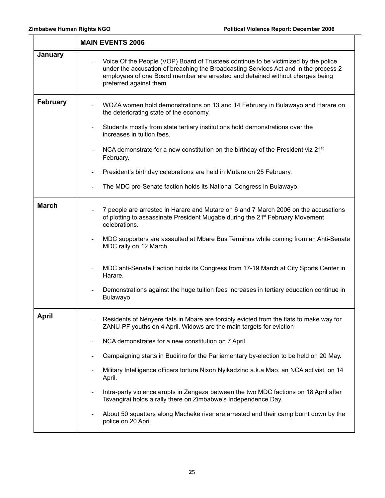|                 | <b>MAIN EVENTS 2006</b>                                                                                                                                                                                                                                                                                  |
|-----------------|----------------------------------------------------------------------------------------------------------------------------------------------------------------------------------------------------------------------------------------------------------------------------------------------------------|
| <b>January</b>  | Voice Of the People (VOP) Board of Trustees continue to be victimized by the police<br>$\blacksquare$<br>under the accusation of breaching the Broadcasting Services Act and in the process 2<br>employees of one Board member are arrested and detained without charges being<br>preferred against them |
| <b>February</b> | WOZA women hold demonstrations on 13 and 14 February in Bulawayo and Harare on<br>the deteriorating state of the economy.                                                                                                                                                                                |
|                 | Students mostly from state tertiary institutions hold demonstrations over the<br>increases in tuition fees.                                                                                                                                                                                              |
|                 | NCA demonstrate for a new constitution on the birthday of the President viz 21 <sup>st</sup><br>February.                                                                                                                                                                                                |
|                 | President's birthday celebrations are held in Mutare on 25 February.                                                                                                                                                                                                                                     |
|                 | The MDC pro-Senate faction holds its National Congress in Bulawayo.                                                                                                                                                                                                                                      |
| <b>March</b>    | 7 people are arrested in Harare and Mutare on 6 and 7 March 2006 on the accusations<br>of plotting to assassinate President Mugabe during the 21 <sup>st</sup> February Movement<br>celebrations.<br>MDC supporters are assaulted at Mbare Bus Terminus while coming from an Anti-Senate                 |
|                 | MDC rally on 12 March.<br>MDC anti-Senate Faction holds its Congress from 17-19 March at City Sports Center in<br>Harare.<br>Demonstrations against the huge tuition fees increases in tertiary education continue in<br><b>Bulawayo</b>                                                                 |
| April           | Residents of Nenyere flats in Mbare are forcibly evicted from the flats to make way for<br>ZANU-PF youths on 4 April. Widows are the main targets for eviction                                                                                                                                           |
|                 | NCA demonstrates for a new constitution on 7 April.                                                                                                                                                                                                                                                      |
|                 | Campaigning starts in Budiriro for the Parliamentary by-election to be held on 20 May.                                                                                                                                                                                                                   |
|                 | Military Intelligence officers torture Nixon Nyikadzino a.k.a Mao, an NCA activist, on 14<br>April.                                                                                                                                                                                                      |
|                 | Intra-party violence erupts in Zengeza between the two MDC factions on 18 April after<br>Tsvangirai holds a rally there on Zimbabwe's Independence Day.                                                                                                                                                  |
|                 | About 50 squatters along Macheke river are arrested and their camp burnt down by the<br>police on 20 April                                                                                                                                                                                               |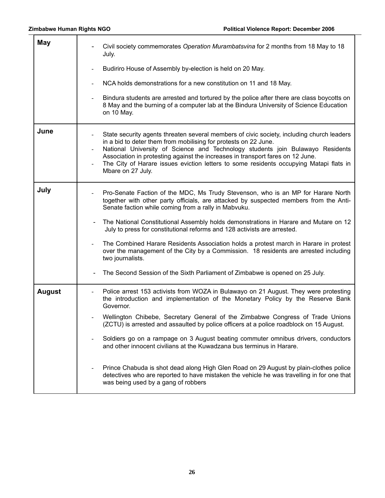| <b>May</b>    | Civil society commemorates Operation Murambatsvina for 2 months from 18 May to 18<br>July.                                                                                                                                                                                                                                                                                                                                                                        |
|---------------|-------------------------------------------------------------------------------------------------------------------------------------------------------------------------------------------------------------------------------------------------------------------------------------------------------------------------------------------------------------------------------------------------------------------------------------------------------------------|
|               | Budiriro House of Assembly by-election is held on 20 May.                                                                                                                                                                                                                                                                                                                                                                                                         |
|               | NCA holds demonstrations for a new constitution on 11 and 18 May.                                                                                                                                                                                                                                                                                                                                                                                                 |
|               | Bindura students are arrested and tortured by the police after there are class boycotts on<br>8 May and the burning of a computer lab at the Bindura University of Science Education<br>on 10 May.                                                                                                                                                                                                                                                                |
| June          | State security agents threaten several members of civic society, including church leaders<br>in a bid to deter them from mobilising for protests on 22 June.<br>National University of Science and Technology students join Bulawayo Residents<br>$\blacksquare$<br>Association in protesting against the increases in transport fares on 12 June.<br>The City of Harare issues eviction letters to some residents occupying Matapi flats in<br>Mbare on 27 July. |
| July          | Pro-Senate Faction of the MDC, Ms Trudy Stevenson, who is an MP for Harare North<br>together with other party officials, are attacked by suspected members from the Anti-<br>Senate faction while coming from a rally in Mabvuku.                                                                                                                                                                                                                                 |
|               | The National Constitutional Assembly holds demonstrations in Harare and Mutare on 12<br>July to press for constitutional reforms and 128 activists are arrested.                                                                                                                                                                                                                                                                                                  |
|               | The Combined Harare Residents Association holds a protest march in Harare in protest<br>over the management of the City by a Commission. 18 residents are arrested including<br>two journalists.                                                                                                                                                                                                                                                                  |
|               | The Second Session of the Sixth Parliament of Zimbabwe is opened on 25 July.                                                                                                                                                                                                                                                                                                                                                                                      |
| <b>August</b> | Police arrest 153 activists from WOZA in Bulawayo on 21 August. They were protesting<br>the introduction and implementation of the Monetary Policy by the Reserve Bank<br>Governor.                                                                                                                                                                                                                                                                               |
|               | Wellington Chibebe, Secretary General of the Zimbabwe Congress of Trade Unions<br>(ZCTU) is arrested and assaulted by police officers at a police roadblock on 15 August.                                                                                                                                                                                                                                                                                         |
|               | Soldiers go on a rampage on 3 August beating commuter omnibus drivers, conductors<br>and other innocent civilians at the Kuwadzana bus terminus in Harare.                                                                                                                                                                                                                                                                                                        |
|               | Prince Chabuda is shot dead along High Glen Road on 29 August by plain-clothes police<br>detectives who are reported to have mistaken the vehicle he was travelling in for one that<br>was being used by a gang of robbers                                                                                                                                                                                                                                        |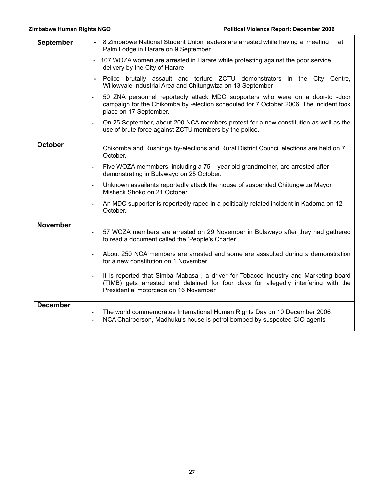| September       | - 8 Zimbabwe National Student Union leaders are arrested while having a meeting<br>at<br>Palm Lodge in Harare on 9 September.                                                                                      |
|-----------------|--------------------------------------------------------------------------------------------------------------------------------------------------------------------------------------------------------------------|
|                 | 107 WOZA women are arrested in Harare while protesting against the poor service<br>delivery by the City of Harare.                                                                                                 |
|                 | Police brutally assault and torture ZCTU demonstrators in the City Centre,<br>Willowvale Industrial Area and Chitungwiza on 13 September                                                                           |
|                 | 50 ZNA personnel reportedly attack MDC supporters who were on a door-to -door<br>campaign for the Chikomba by -election scheduled for 7 October 2006. The incident took<br>place on 17 September.                  |
|                 | On 25 September, about 200 NCA members protest for a new constitution as well as the<br>$\blacksquare$<br>use of brute force against ZCTU members by the police.                                                   |
| <b>October</b>  | Chikomba and Rushinga by-elections and Rural District Council elections are held on 7<br>October.                                                                                                                  |
|                 | Five WOZA memmbers, including a 75 - year old grandmother, are arrested after<br>$\blacksquare$<br>demonstrating in Bulawayo on 25 October.                                                                        |
|                 | Unknown assailants reportedly attack the house of suspended Chitungwiza Mayor<br>Misheck Shoko on 21 October.                                                                                                      |
|                 | An MDC supporter is reportedly raped in a politically-related incident in Kadoma on 12<br>October.                                                                                                                 |
| <b>November</b> | 57 WOZA members are arrested on 29 November in Bulawayo after they had gathered<br>to read a document called the 'People's Charter'                                                                                |
|                 | About 250 NCA members are arrested and some are assaulted during a demonstration<br>for a new constitution on 1 November.                                                                                          |
|                 | It is reported that Simba Mabasa, a driver for Tobacco Industry and Marketing board<br>(TIMB) gets arrested and detained for four days for allegedly interfering with the<br>Presidential motorcade on 16 November |
| <b>December</b> | The world commemorates International Human Rights Day on 10 December 2006<br>$\blacksquare$<br>NCA Chairperson, Madhuku's house is petrol bombed by suspected CIO agents<br>$\blacksquare$                         |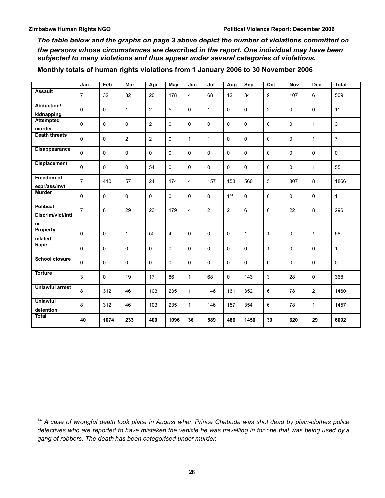*The table below and the graphs on page 3 above depict the number of violations committed on the persons whose circumstances are described in the report. One individual may have been subjected to many violations and thus appear under several categories of violations.*

**Monthly totals of human rights violations from 1 January 2006 to 30 November 2006**

|                                            | Jan            | Feb         | Mar            | Apr            | May            | Jun            | Jul            | Aug            | <b>Sep</b> | Oct            | Nov      | <b>Dec</b>     | <b>Total</b>   |
|--------------------------------------------|----------------|-------------|----------------|----------------|----------------|----------------|----------------|----------------|------------|----------------|----------|----------------|----------------|
| <b>Assault</b>                             | $\overline{7}$ | 32          | 32             | 20             | 178            | $\overline{4}$ | 68             | 12             | 34         | 9              | 107      | 6              | 509            |
| Abduction/<br>kidnapping                   | $\Omega$       | $\Omega$    | $\mathbf{1}$   | $\overline{2}$ | 5              | $\Omega$       | $\mathbf{1}$   | $\Omega$       | $\Omega$   | $\overline{2}$ | $\Omega$ | 0              | 11             |
| <b>Attempted</b><br>murder                 | $\mathbf 0$    | 0           | $\mathbf 0$    | $\overline{2}$ | $\mathbf 0$    | 0              | $\mathbf 0$    | $\mathbf 0$    | 0          | 0              | 0        | $\mathbf{1}$   | 3              |
| <b>Death threats</b>                       | $\mathbf 0$    | 0           | $\overline{2}$ | $\overline{2}$ | $\mathbf 0$    | $\mathbf{1}$   | $\mathbf{1}$   | $\mathbf 0$    | 0          | $\mathbf 0$    | 0        | $\mathbf{1}$   | $\overline{7}$ |
| <b>Disappearance</b>                       | $\Omega$       | 0           | $\mathbf 0$    | 0              | 0              | 0              | 0              | $\Omega$       | $\Omega$   | $\mathbf 0$    | 0        | $\mathbf 0$    | 0              |
| <b>Displacement</b>                        | $\mathbf 0$    | 0           | $\mathbf 0$    | 54             | $\mathbf 0$    | 0              | $\mathbf 0$    | $\mathbf 0$    | 0          | $\mathbf 0$    | 0        | 1              | 55             |
| Freedom of<br>expr/ass/mvt                 | $\overline{7}$ | 410         | 57             | 24             | 174            | 4              | 157            | 153            | 560        | 5              | 307      | 8              | 1866           |
| <b>Murder</b>                              | $\Omega$       | $\Omega$    | $\Omega$       | 0              | $\Omega$       | $\Omega$       | $\Omega$       | 114            | $\Omega$   | $\mathbf{0}$   | $\Omega$ | $\mathbf 0$    | $\mathbf{1}$   |
| <b>Political</b><br>Discrim/vict/inti<br>m | $\overline{7}$ | 8           | 29             | 23             | 179            | 4              | $\overline{2}$ | $\overline{2}$ | 6          | 6              | 22       | 8              | 296            |
| Property<br>related                        | $\Omega$       | 0           | $\mathbf{1}$   | 50             | $\overline{4}$ | 0              | 0              | $\Omega$       | 1          | $\mathbf{1}$   | 0        | $\mathbf{1}$   | 58             |
| Rape                                       | $\Omega$       | $\mathbf 0$ | $\Omega$       | 0              | $\Omega$       | 0              | $\mathbf 0$    | $\Omega$       | 0          | $\mathbf{1}$   | 0        | 0              | $\mathbf{1}$   |
| <b>School closure</b>                      | $\Omega$       | 0           | $\Omega$       | 0              | $\Omega$       | 0              | $\mathbf 0$    | $\Omega$       | $\Omega$   | $\mathbf{0}$   | $\Omega$ | $\mathbf 0$    | 0              |
| <b>Torture</b>                             | 3              | $\mathbf 0$ | 19             | 17             | 86             | $\mathbf{1}$   | 68             | $\mathbf 0$    | 143        | 3              | 28       | 0              | 368            |
| <b>Unlawful arrest</b>                     | 8              | 312         | 46             | 103            | 235            | 11             | 146            | 161            | 352        | 6              | 78       | $\overline{2}$ | 1460           |
| <b>Unlawful</b><br>detention               | 8              | 312         | 46             | 103            | 235            | 11             | 146            | 157            | 354        | 6              | 78       | $\mathbf{1}$   | 1457           |
| <b>Total</b>                               | 40             | 1074        | 233            | 400            | 1096           | 36             | 589            | 486            | 1450       | 39             | 620      | 29             | 6092           |

<span id="page-27-0"></span><sup>14</sup> *A case of wrongful death took place in August when Prince Chabuda was shot dead by plain-clothes police detectives who are reported to have mistaken the vehicle he was travelling in for one that was being used by a gang of robbers. The death has been categorised under murder.*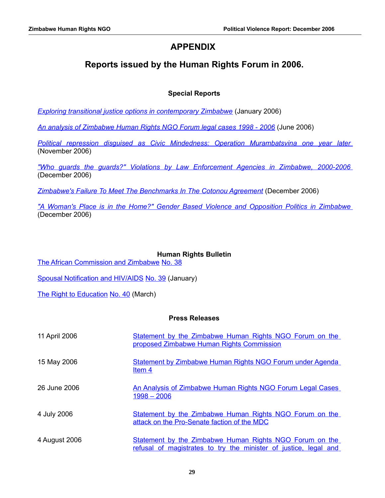## **APPENDIX**

## **Reports issued by the Human Rights Forum in 2006.**

#### **Special Reports**

*[Exploring transitional justice options in contemporary Zimbabwe](http://www.hrforumzim.com/special_hrru/transitional_justice.pdf)* (January 2006)

*[An analysis of Zimbabwe Human Rights NGO Forum legal cases 1998 - 2006](http://www.hrforumzim.com/special_hrru/analysis_1998_2006.pdf)* (June 2006)

*[Political repression disguised as Civic Mindedness: Operation Murambatsvina one year later](http://www.hrforumzim.com/special_hrru/Operation_Murambatsvina_one_year_later.pdf)* (November 2006)

*["Who guards the guards?" Violations by Law Enforcement Agencies in Zimbabwe, 2000-2006](http://www.hrforumzim.com/special_hrru/Who_guards_the_guards.pdf)* (December 2006)

*[Zimbabwe's Failure To Meet The Benchmarks In The Cotonou Agreement](http://www.hrforumzim.com/special_hrru/Benchmarks.pdf)* (December 2006)

*["A Woman's Place is in the Home?" Gender Based Violence and Opposition Politics in Zimbabwe](http://www.hrforumzim.com/special_hrru/Gender_%20Based_Violence_and_Opposition_Politics_in_Zimbabwe.pdf)* (December 2006)

#### **Human Rights Bulletin**

[The African Commission and Zimbabwe](http://www.hrforumzim.com/monitor/january_2006.rtf) [No. 38](http://www.hrforumzim.com/monitor/january_2006.pdf)

[Spousal Notification and HIV/AIDS](http://www.hrforumzim.com/monitor/march_2006.rtf) [No. 39](http://www.hrforumzim.com/monitor/march_2006.pdf) (January)

[The Right to Education](http://www.hrforumzim.com/monitor/july_2006.rtf) [No. 40](http://www.hrforumzim.com/monitor/july_2006.pdf) (March)

#### **Press Releases**

| 11 April 2006 | Statement by the Zimbabwe Human Rights NGO Forum on the<br>proposed Zimbabwe Human Rights Commission                        |
|---------------|-----------------------------------------------------------------------------------------------------------------------------|
| 15 May 2006   | <b>Statement by Zimbabwe Human Rights NGO Forum under Agenda</b><br>Item <sub>4</sub>                                       |
| 26 June 2006  | An Analysis of Zimbabwe Human Rights NGO Forum Legal Cases<br>$1998 - 2006$                                                 |
| 4 July 2006   | Statement by the Zimbabwe Human Rights NGO Forum on the<br>attack on the Pro-Senate faction of the MDC                      |
| 4 August 2006 | Statement by the Zimbabwe Human Rights NGO Forum on the<br>refusal of magistrates to try the minister of justice, legal and |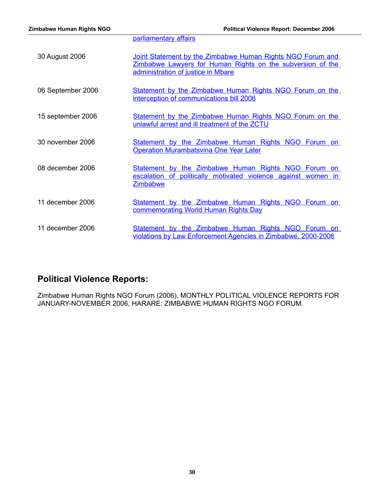|                   | parliamentary affairs                                                                                                                                          |
|-------------------|----------------------------------------------------------------------------------------------------------------------------------------------------------------|
| 30 August 2006    | Joint Statement by the Zimbabwe Human Rights NGO Forum and<br>Zimbabwe Lawyers for Human Rights on the subversion of the<br>administration of justice in Mbare |
| 06 September 2006 | Statement by the Zimbabwe Human Rights NGO Forum on the<br>interception of communications bill 2006                                                            |
| 15 september 2006 | Statement by the Zimbabwe Human Rights NGO Forum on the<br>unlawful arrest and ill treatment of the ZCTU                                                       |
| 30 november 2006  | Statement by the Zimbabwe Human Rights NGO Forum on<br><b>Operation Murambatsvina One Year Later</b>                                                           |
| 08 december 2006  | Statement by the Zimbabwe Human Rights NGO Forum on<br>escalation of politically motivated violence against women in<br><b>Zimbabwe</b>                        |
| 11 december 2006  | Statement by the Zimbabwe Human Rights NGO Forum on<br>commemorating World Human Rights Day                                                                    |
| 11 december 2006  | Statement by the Zimbabwe Human Rights NGO Forum on<br>violations by Law Enforcement Agencies in Zimbabwe, 2000-2006                                           |

# **Political Violence Reports:**

Zimbabwe Human Rights NGO Forum (2006), MONTHLY POLITICAL VIOLENCE REPORTS FOR JANUARY-NOVEMBER 2006, HARARE: ZIMBABWE HUMAN RIGHTS NGO FORUM.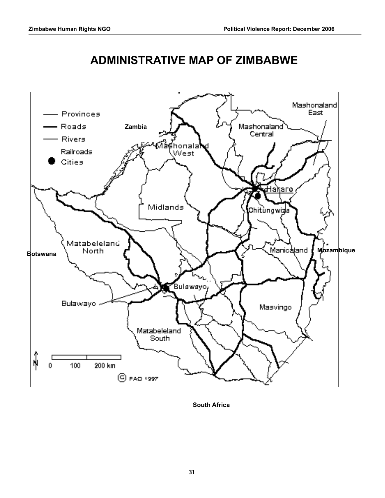

# **ADMINISTRATIVE MAP OF ZIMBABWE**

**South Africa**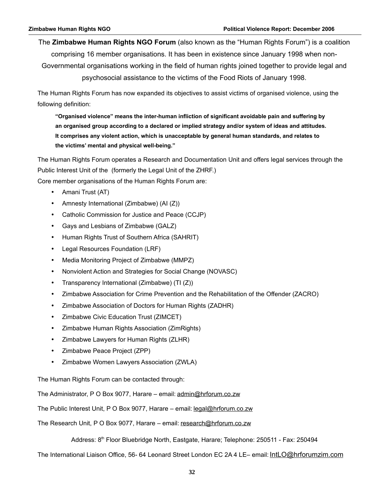The **Zimbabwe Human Rights NGO Forum** (also known as the "Human Rights Forum") is a coalition comprising 16 member organisations. It has been in existence since January 1998 when non-Governmental organisations working in the field of human rights joined together to provide legal and psychosocial assistance to the victims of the Food Riots of January 1998.

The Human Rights Forum has now expanded its objectives to assist victims of organised violence, using the following definition:

**"Organised violence" means the inter-human infliction of significant avoidable pain and suffering by an organised group according to a declared or implied strategy and/or system of ideas and attitudes. It comprises any violent action, which is unacceptable by general human standards, and relates to the victims' mental and physical well-being."**

The Human Rights Forum operates a Research and Documentation Unit and offers legal services through the Public Interest Unit of the (formerly the Legal Unit of the ZHRF.)

Core member organisations of the Human Rights Forum are:

- Amani Trust (AT)
- Amnesty International (Zimbabwe) (AI (Z))
- Catholic Commission for Justice and Peace (CCJP)
- Gays and Lesbians of Zimbabwe (GALZ)
- Human Rights Trust of Southern Africa (SAHRIT)
- Legal Resources Foundation (LRF)
- Media Monitoring Project of Zimbabwe (MMPZ)
- Nonviolent Action and Strategies for Social Change (NOVASC)
- Transparency International (Zimbabwe) (TI (Z))
- Zimbabwe Association for Crime Prevention and the Rehabilitation of the Offender (ZACRO)
- Zimbabwe Association of Doctors for Human Rights (ZADHR)
- Zimbabwe Civic Education Trust (ZIMCET)
- Zimbabwe Human Rights Association (ZimRights)
- Zimbabwe Lawyers for Human Rights (ZLHR)
- Zimbabwe Peace Project (ZPP)
- Zimbabwe Women Lawyers Association (ZWLA)

The Human Rights Forum can be contacted through:

The Administrator, P O Box 9077, Harare – email: admin@hrforum.co.zw

The Public Interest Unit, P O Box 9077, Harare – email: legal@hrforum.co.zw

The Research Unit, P O Box 9077, Harare – email: research@hrforum.co.zw

Address: 8th Floor Bluebridge North, Eastgate, Harare; Telephone: 250511 - Fax: 250494

The International Liaison Office, 56- 64 Leonard Street London EC 2A 4 LE– email: IntLO@hrforumzim.com